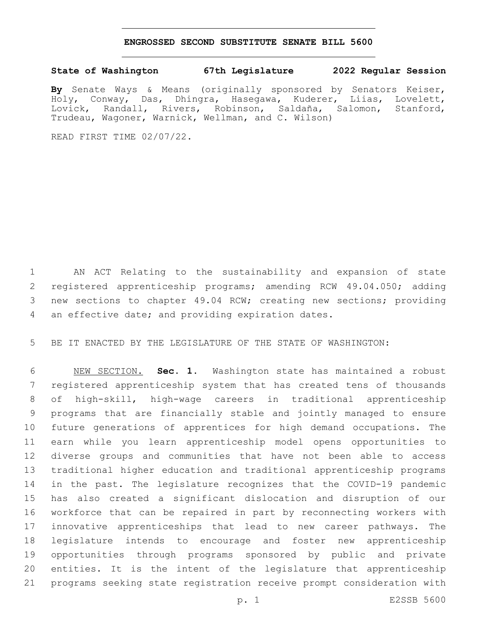## **ENGROSSED SECOND SUBSTITUTE SENATE BILL 5600**

## **State of Washington 67th Legislature 2022 Regular Session**

**By** Senate Ways & Means (originally sponsored by Senators Keiser, Holy, Conway, Das, Dhingra, Hasegawa, Kuderer, Liias, Lovelett, Lovick, Randall, Rivers, Robinson, Saldaña, Salomon, Stanford, Trudeau, Wagoner, Warnick, Wellman, and C. Wilson)

READ FIRST TIME 02/07/22.

 AN ACT Relating to the sustainability and expansion of state registered apprenticeship programs; amending RCW 49.04.050; adding new sections to chapter 49.04 RCW; creating new sections; providing 4 an effective date; and providing expiration dates.

BE IT ENACTED BY THE LEGISLATURE OF THE STATE OF WASHINGTON:

 NEW SECTION. **Sec. 1.** Washington state has maintained a robust registered apprenticeship system that has created tens of thousands of high-skill, high-wage careers in traditional apprenticeship programs that are financially stable and jointly managed to ensure future generations of apprentices for high demand occupations. The earn while you learn apprenticeship model opens opportunities to diverse groups and communities that have not been able to access traditional higher education and traditional apprenticeship programs in the past. The legislature recognizes that the COVID-19 pandemic has also created a significant dislocation and disruption of our workforce that can be repaired in part by reconnecting workers with innovative apprenticeships that lead to new career pathways. The legislature intends to encourage and foster new apprenticeship opportunities through programs sponsored by public and private entities. It is the intent of the legislature that apprenticeship programs seeking state registration receive prompt consideration with

p. 1 E2SSB 5600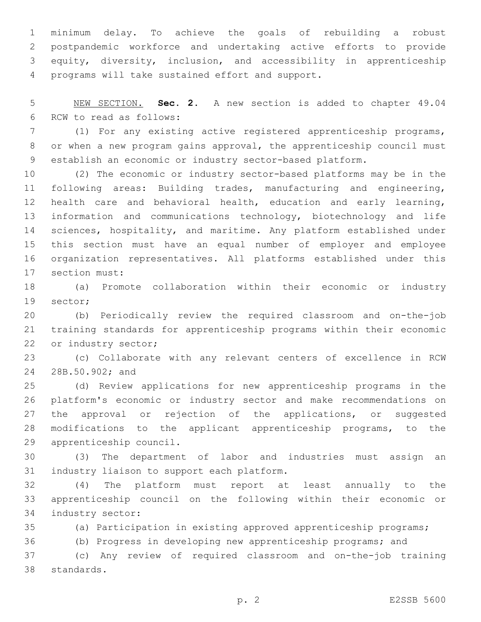minimum delay. To achieve the goals of rebuilding a robust postpandemic workforce and undertaking active efforts to provide equity, diversity, inclusion, and accessibility in apprenticeship 4 programs will take sustained effort and support.

 NEW SECTION. **Sec. 2.** A new section is added to chapter 49.04 6 RCW to read as follows:

 (1) For any existing active registered apprenticeship programs, or when a new program gains approval, the apprenticeship council must establish an economic or industry sector-based platform.

 (2) The economic or industry sector-based platforms may be in the following areas: Building trades, manufacturing and engineering, health care and behavioral health, education and early learning, information and communications technology, biotechnology and life sciences, hospitality, and maritime. Any platform established under this section must have an equal number of employer and employee organization representatives. All platforms established under this 17 section must:

 (a) Promote collaboration within their economic or industry 19 sector;

 (b) Periodically review the required classroom and on-the-job training standards for apprenticeship programs within their economic 22 or industry sector;

 (c) Collaborate with any relevant centers of excellence in RCW 24 28B.50.902; and

 (d) Review applications for new apprenticeship programs in the platform's economic or industry sector and make recommendations on 27 the approval or rejection of the applications, or suggested modifications to the applicant apprenticeship programs, to the 29 apprenticeship council.

 (3) The department of labor and industries must assign an 31 industry liaison to support each platform.

 (4) The platform must report at least annually to the apprenticeship council on the following within their economic or 34 industry sector:

(a) Participation in existing approved apprenticeship programs;

(b) Progress in developing new apprenticeship programs; and

 (c) Any review of required classroom and on-the-job training 38 standards.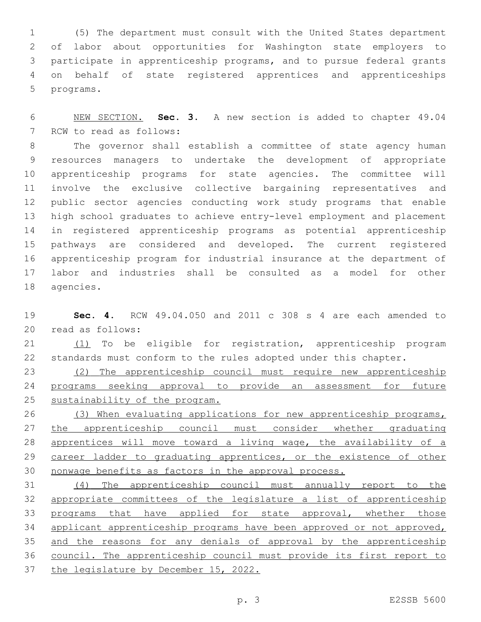(5) The department must consult with the United States department of labor about opportunities for Washington state employers to participate in apprenticeship programs, and to pursue federal grants on behalf of state registered apprentices and apprenticeships 5 programs.

 NEW SECTION. **Sec. 3.** A new section is added to chapter 49.04 7 RCW to read as follows:

 The governor shall establish a committee of state agency human resources managers to undertake the development of appropriate apprenticeship programs for state agencies. The committee will involve the exclusive collective bargaining representatives and public sector agencies conducting work study programs that enable high school graduates to achieve entry-level employment and placement in registered apprenticeship programs as potential apprenticeship pathways are considered and developed. The current registered apprenticeship program for industrial insurance at the department of labor and industries shall be consulted as a model for other 18 agencies.

 **Sec. 4.** RCW 49.04.050 and 2011 c 308 s 4 are each amended to read as follows:20

21 (1) To be eligible for registration, apprenticeship program standards must conform to the rules adopted under this chapter.

 (2) The apprenticeship council must require new apprenticeship programs seeking approval to provide an assessment for future sustainability of the program.

26 (3) When evaluating applications for new apprenticeship programs, the apprenticeship council must consider whether graduating 28 apprentices will move toward a living wage, the availability of a 29 career ladder to graduating apprentices, or the existence of other nonwage benefits as factors in the approval process.

 (4) The apprenticeship council must annually report to the appropriate committees of the legislature a list of apprenticeship 33 programs that have applied for state approval, whether those 34 applicant apprenticeship programs have been approved or not approved, 35 and the reasons for any denials of approval by the apprenticeship council. The apprenticeship council must provide its first report to the legislature by December 15, 2022.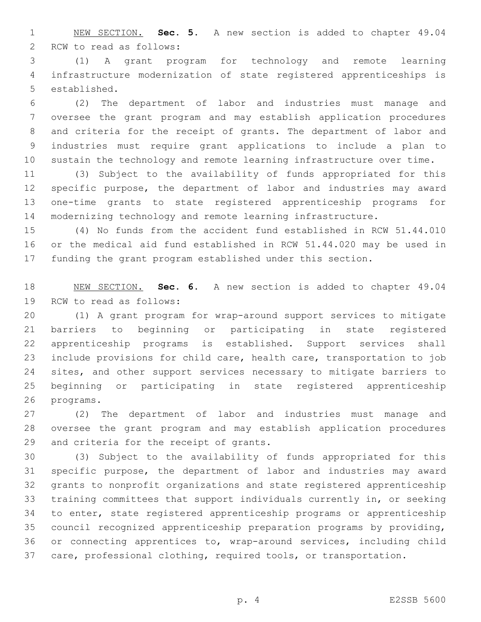NEW SECTION. **Sec. 5.** A new section is added to chapter 49.04 2 RCW to read as follows:

 (1) A grant program for technology and remote learning infrastructure modernization of state registered apprenticeships is 5 established.

 (2) The department of labor and industries must manage and oversee the grant program and may establish application procedures and criteria for the receipt of grants. The department of labor and industries must require grant applications to include a plan to sustain the technology and remote learning infrastructure over time.

 (3) Subject to the availability of funds appropriated for this specific purpose, the department of labor and industries may award one-time grants to state registered apprenticeship programs for modernizing technology and remote learning infrastructure.

 (4) No funds from the accident fund established in RCW 51.44.010 or the medical aid fund established in RCW 51.44.020 may be used in funding the grant program established under this section.

 NEW SECTION. **Sec. 6.** A new section is added to chapter 49.04 19 RCW to read as follows:

 (1) A grant program for wrap-around support services to mitigate barriers to beginning or participating in state registered apprenticeship programs is established. Support services shall include provisions for child care, health care, transportation to job 24 sites, and other support services necessary to mitigate barriers to beginning or participating in state registered apprenticeship 26 programs.

 (2) The department of labor and industries must manage and oversee the grant program and may establish application procedures 29 and criteria for the receipt of grants.

 (3) Subject to the availability of funds appropriated for this specific purpose, the department of labor and industries may award grants to nonprofit organizations and state registered apprenticeship training committees that support individuals currently in, or seeking to enter, state registered apprenticeship programs or apprenticeship council recognized apprenticeship preparation programs by providing, or connecting apprentices to, wrap-around services, including child care, professional clothing, required tools, or transportation.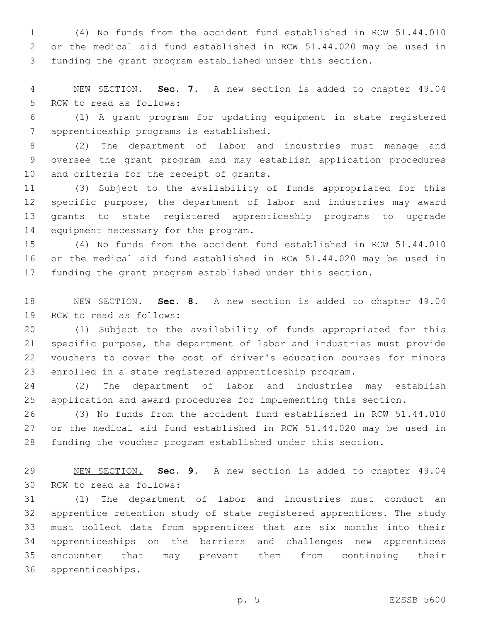(4) No funds from the accident fund established in RCW 51.44.010 or the medical aid fund established in RCW 51.44.020 may be used in funding the grant program established under this section.

 NEW SECTION. **Sec. 7.** A new section is added to chapter 49.04 5 RCW to read as follows:

 (1) A grant program for updating equipment in state registered apprenticeship programs is established.7

 (2) The department of labor and industries must manage and oversee the grant program and may establish application procedures 10 and criteria for the receipt of grants.

 (3) Subject to the availability of funds appropriated for this specific purpose, the department of labor and industries may award grants to state registered apprenticeship programs to upgrade 14 equipment necessary for the program.

 (4) No funds from the accident fund established in RCW 51.44.010 or the medical aid fund established in RCW 51.44.020 may be used in funding the grant program established under this section.

 NEW SECTION. **Sec. 8.** A new section is added to chapter 49.04 19 RCW to read as follows:

 (1) Subject to the availability of funds appropriated for this specific purpose, the department of labor and industries must provide vouchers to cover the cost of driver's education courses for minors enrolled in a state registered apprenticeship program.

 (2) The department of labor and industries may establish application and award procedures for implementing this section.

 (3) No funds from the accident fund established in RCW 51.44.010 or the medical aid fund established in RCW 51.44.020 may be used in funding the voucher program established under this section.

 NEW SECTION. **Sec. 9.** A new section is added to chapter 49.04 30 RCW to read as follows:

 (1) The department of labor and industries must conduct an apprentice retention study of state registered apprentices. The study must collect data from apprentices that are six months into their apprenticeships on the barriers and challenges new apprentices encounter that may prevent them from continuing their 36 apprenticeships.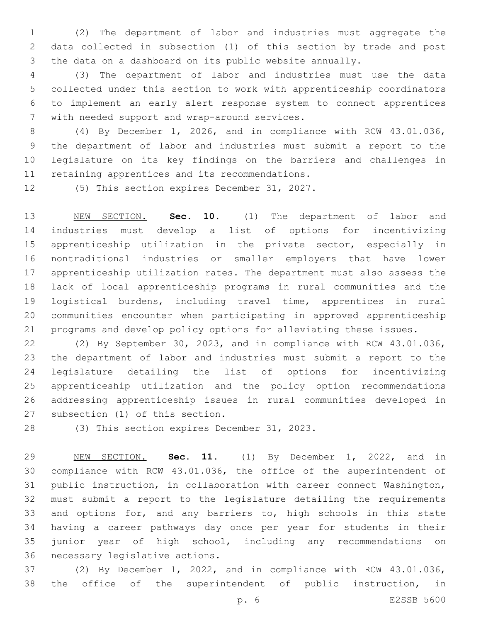(2) The department of labor and industries must aggregate the data collected in subsection (1) of this section by trade and post the data on a dashboard on its public website annually.

 (3) The department of labor and industries must use the data collected under this section to work with apprenticeship coordinators to implement an early alert response system to connect apprentices 7 with needed support and wrap-around services.

 (4) By December 1, 2026, and in compliance with RCW 43.01.036, the department of labor and industries must submit a report to the legislature on its key findings on the barriers and challenges in 11 retaining apprentices and its recommendations.

12 (5) This section expires December 31, 2027.

 NEW SECTION. **Sec. 10.** (1) The department of labor and industries must develop a list of options for incentivizing apprenticeship utilization in the private sector, especially in nontraditional industries or smaller employers that have lower apprenticeship utilization rates. The department must also assess the lack of local apprenticeship programs in rural communities and the logistical burdens, including travel time, apprentices in rural communities encounter when participating in approved apprenticeship programs and develop policy options for alleviating these issues.

 (2) By September 30, 2023, and in compliance with RCW 43.01.036, the department of labor and industries must submit a report to the legislature detailing the list of options for incentivizing apprenticeship utilization and the policy option recommendations addressing apprenticeship issues in rural communities developed in 27 subsection (1) of this section.

28 (3) This section expires December 31, 2023.

 NEW SECTION. **Sec. 11.** (1) By December 1, 2022, and in compliance with RCW 43.01.036, the office of the superintendent of public instruction, in collaboration with career connect Washington, must submit a report to the legislature detailing the requirements 33 and options for, and any barriers to, high schools in this state having a career pathways day once per year for students in their junior year of high school, including any recommendations on necessary legislative actions.

 (2) By December 1, 2022, and in compliance with RCW 43.01.036, the office of the superintendent of public instruction, in

p. 6 E2SSB 5600